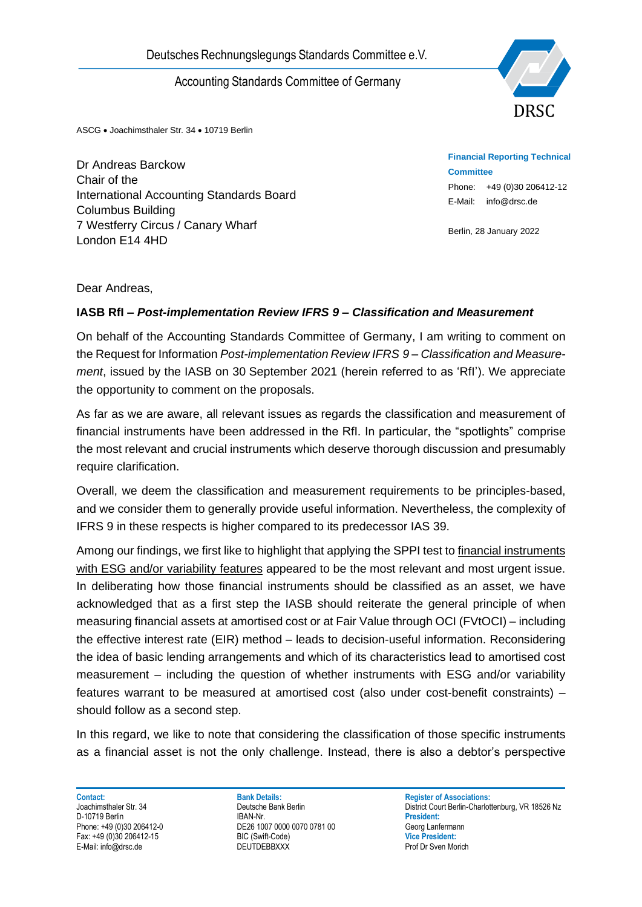

ASCG • Joachimsthaler Str. 34 • 10719 Berlin

Dr Andreas Barckow Chair of the International Accounting Standards Board Columbus Building 7 Westferry Circus / Canary Wharf London E14 4HD

**Financial Reporting Technical Committee** Phone: +49 (0)30 206412-12 E-Mail: info@drsc.de

Berlin, 28 January 2022

### Dear Andreas,

### **IASB RfI** *– Post-implementation Review IFRS 9 – Classification and Measurement*

On behalf of the Accounting Standards Committee of Germany, I am writing to comment on the Request for Information *Post-implementation Review IFRS 9 – Classification and Measurement*, issued by the IASB on 30 September 2021 (herein referred to as 'RfI'). We appreciate the opportunity to comment on the proposals.

As far as we are aware, all relevant issues as regards the classification and measurement of financial instruments have been addressed in the RfI. In particular, the "spotlights" comprise the most relevant and crucial instruments which deserve thorough discussion and presumably require clarification.

Overall, we deem the classification and measurement requirements to be principles-based, and we consider them to generally provide useful information. Nevertheless, the complexity of IFRS 9 in these respects is higher compared to its predecessor IAS 39.

Deutsches Rechnungslegungs Standards Committee e.V.<br>
Accounting Standards Committee of Germany<br>
Dr Andreas Barckow<br>
Char of the cocounting Standards Board<br>
Dr Mories Barckow<br>
Char of the Accounting Standards Board<br>
Columbu Among our findings, we first like to highlight that applying the SPPI test to financial instruments with ESG and/or variability features appeared to be the most relevant and most urgent issue. In deliberating how those financial instruments should be classified as an asset, we have acknowledged that as a first step the IASB should reiterate the general principle of when measuring financial assets at amortised cost or at Fair Value through OCI (FVtOCI) – including the effective interest rate (EIR) method – leads to decision-useful information. Reconsidering the idea of basic lending arrangements and which of its characteristics lead to amortised cost measurement – including the question of whether instruments with ESG and/or variability features warrant to be measured at amortised cost (also under cost-benefit constraints) – should follow as a second step.

In this regard, we like to note that considering the classification of those specific instruments as a financial asset is not the only challenge. Instead, there is also a debtor's perspective

**Contact: Bank Details: Bank Details: Register of Associations: Park Details: Register of Associations: Park Details: Register of Associations: Park Details: Park Details: Park Details: Register of As** D-10719 Berlin **President:**<br>
Phone: +49 (0)30 206412-0<br> **DE26 1007 0000 0070 0781 00 DE26 1007 0000 0070 0781 00** DE26 1007 0000 0070 0781 00 Fax: +49 (0)30 206412-15 BIC (Swift-Code) **Vice President:**

District Court Berlin-Charlottenburg, VR 18526 Nz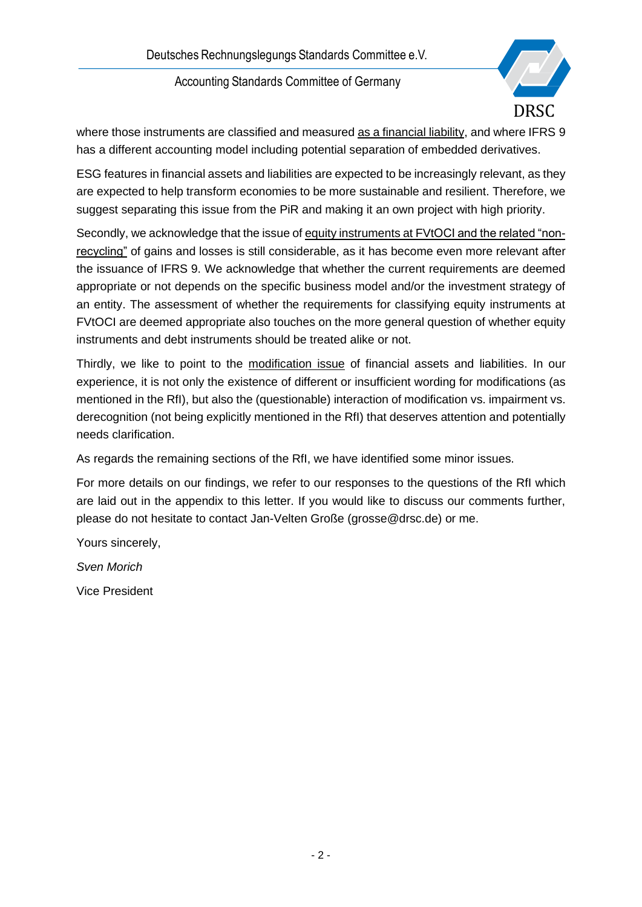

where those instruments are classified and measured as a financial liability, and where IFRS 9 has a different accounting model including potential separation of embedded derivatives.

ESG features in financial assets and liabilities are expected to be increasingly relevant, as they are expected to help transform economies to be more sustainable and resilient. Therefore, we suggest separating this issue from the PiR and making it an own project with high priority.

Secondly, we acknowledge that the issue of equity instruments at FVtOCI and the related "nonrecycling" of gains and losses is still considerable, as it has become even more relevant after the issuance of IFRS 9. We acknowledge that whether the current requirements are deemed appropriate or not depends on the specific business model and/or the investment strategy of an entity. The assessment of whether the requirements for classifying equity instruments at FVtOCI are deemed appropriate also touches on the more general question of whether equity instruments and debt instruments should be treated alike or not.

Thirdly, we like to point to the modification issue of financial assets and liabilities. In our experience, it is not only the existence of different or insufficient wording for modifications (as mentioned in the RfI), but also the (questionable) interaction of modification vs. impairment vs. derecognition (not being explicitly mentioned in the RfI) that deserves attention and potentially needs clarification.

As regards the remaining sections of the RfI, we have identified some minor issues.

For more details on our findings, we refer to our responses to the questions of the RfI which are laid out in the appendix to this letter. If you would like to discuss our comments further, please do not hesitate to contact Jan-Velten Große (grosse@drsc.de) or me.

Yours sincerely,

*Sven Morich*

Vice President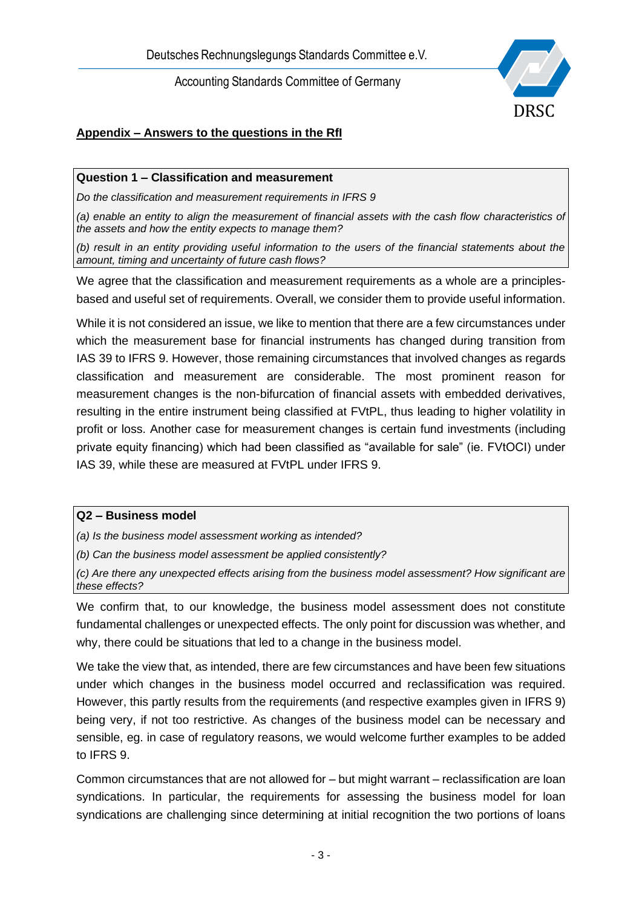

# **Appendix – Answers to the questions in the RfI**

### **Question 1 – Classification and measurement**

*Do the classification and measurement requirements in IFRS 9*

*(a) enable an entity to align the measurement of financial assets with the cash flow characteristics of the assets and how the entity expects to manage them?*

*(b) result in an entity providing useful information to the users of the financial statements about the amount, timing and uncertainty of future cash flows?*

We agree that the classification and measurement requirements as a whole are a principlesbased and useful set of requirements. Overall, we consider them to provide useful information.

While it is not considered an issue, we like to mention that there are a few circumstances under which the measurement base for financial instruments has changed during transition from IAS 39 to IFRS 9. However, those remaining circumstances that involved changes as regards classification and measurement are considerable. The most prominent reason for measurement changes is the non-bifurcation of financial assets with embedded derivatives, resulting in the entire instrument being classified at FVtPL, thus leading to higher volatility in profit or loss. Another case for measurement changes is certain fund investments (including private equity financing) which had been classified as "available for sale" (ie. FVtOCI) under IAS 39, while these are measured at FVtPL under IFRS 9.

### **Q2 – Business model**

*(a) Is the business model assessment working as intended?*

*(b) Can the business model assessment be applied consistently?*

*(c) Are there any unexpected effects arising from the business model assessment? How significant are these effects?*

We confirm that, to our knowledge, the business model assessment does not constitute fundamental challenges or unexpected effects. The only point for discussion was whether, and why, there could be situations that led to a change in the business model.

We take the view that, as intended, there are few circumstances and have been few situations under which changes in the business model occurred and reclassification was required. However, this partly results from the requirements (and respective examples given in IFRS 9) being very, if not too restrictive. As changes of the business model can be necessary and sensible, eg. in case of regulatory reasons, we would welcome further examples to be added to IFRS 9.

Common circumstances that are not allowed for – but might warrant – reclassification are loan syndications. In particular, the requirements for assessing the business model for loan syndications are challenging since determining at initial recognition the two portions of loans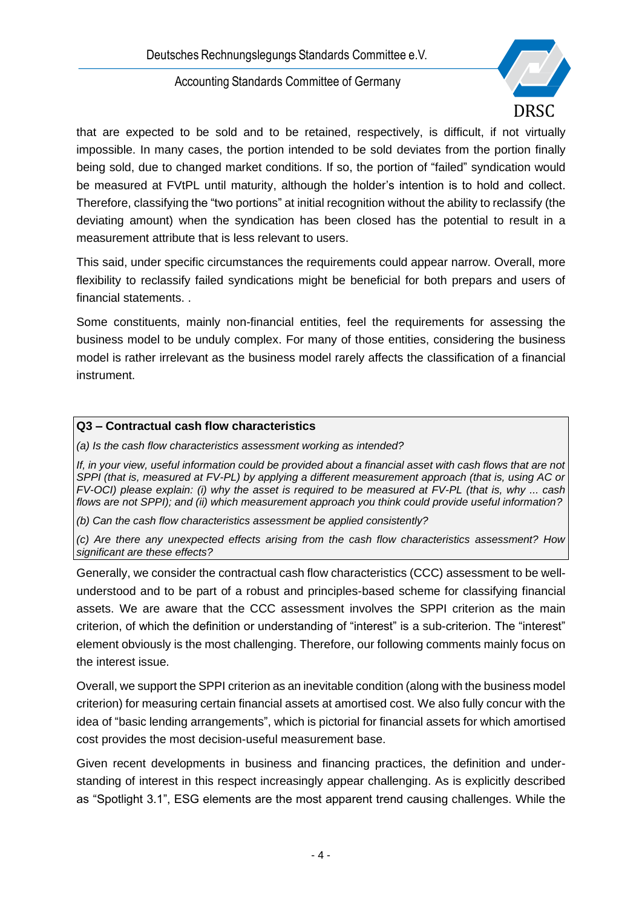

that are expected to be sold and to be retained, respectively, is difficult, if not virtually impossible. In many cases, the portion intended to be sold deviates from the portion finally being sold, due to changed market conditions. If so, the portion of "failed" syndication would be measured at FVtPL until maturity, although the holder's intention is to hold and collect. Therefore, classifying the "two portions" at initial recognition without the ability to reclassify (the deviating amount) when the syndication has been closed has the potential to result in a measurement attribute that is less relevant to users.

This said, under specific circumstances the requirements could appear narrow. Overall, more flexibility to reclassify failed syndications might be beneficial for both prepars and users of financial statements. .

Some constituents, mainly non-financial entities, feel the requirements for assessing the business model to be unduly complex. For many of those entities, considering the business model is rather irrelevant as the business model rarely affects the classification of a financial instrument.

## **Q3 – Contractual cash flow characteristics**

*(a) Is the cash flow characteristics assessment working as intended?*

*If, in your view, useful information could be provided about a financial asset with cash flows that are not SPPI (that is, measured at FV-PL) by applying a different measurement approach (that is, using AC or FV-OCI) please explain: (i) why the asset is required to be measured at FV-PL (that is, why ... cash flows are not SPPI); and (ii) which measurement approach you think could provide useful information?*

*(b) Can the cash flow characteristics assessment be applied consistently?*

*(c) Are there any unexpected effects arising from the cash flow characteristics assessment? How significant are these effects?*

Generally, we consider the contractual cash flow characteristics (CCC) assessment to be wellunderstood and to be part of a robust and principles-based scheme for classifying financial assets. We are aware that the CCC assessment involves the SPPI criterion as the main criterion, of which the definition or understanding of "interest" is a sub-criterion. The "interest" element obviously is the most challenging. Therefore, our following comments mainly focus on the interest issue.

Overall, we support the SPPI criterion as an inevitable condition (along with the business model criterion) for measuring certain financial assets at amortised cost. We also fully concur with the idea of "basic lending arrangements", which is pictorial for financial assets for which amortised cost provides the most decision-useful measurement base.

Given recent developments in business and financing practices, the definition and understanding of interest in this respect increasingly appear challenging. As is explicitly described as "Spotlight 3.1", ESG elements are the most apparent trend causing challenges. While the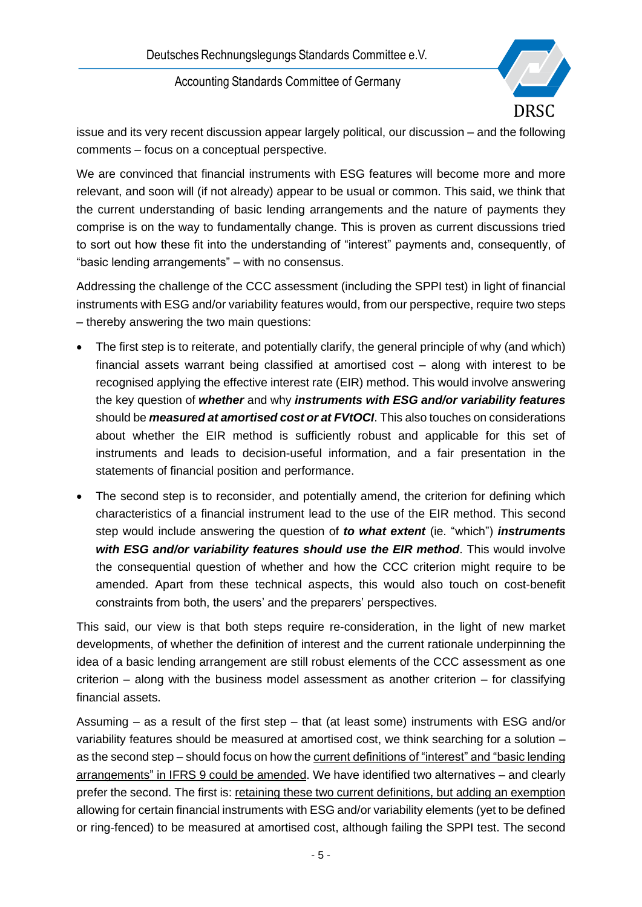Deutsches Rechnungslegungs Standards Committee e.V.

Accounting Standards Committee of Germany



issue and its very recent discussion appear largely political, our discussion – and the following comments – focus on a conceptual perspective.

We are convinced that financial instruments with ESG features will become more and more relevant, and soon will (if not already) appear to be usual or common. This said, we think that the current understanding of basic lending arrangements and the nature of payments they comprise is on the way to fundamentally change. This is proven as current discussions tried to sort out how these fit into the understanding of "interest" payments and, consequently, of "basic lending arrangements" – with no consensus.

Addressing the challenge of the CCC assessment (including the SPPI test) in light of financial instruments with ESG and/or variability features would, from our perspective, require two steps – thereby answering the two main questions:

- The first step is to reiterate, and potentially clarify, the general principle of why (and which) financial assets warrant being classified at amortised cost – along with interest to be recognised applying the effective interest rate (EIR) method. This would involve answering the key question of *whether* and why *instruments with ESG and/or variability features* should be *measured at amortised cost or at FVtOCI*. This also touches on considerations about whether the EIR method is sufficiently robust and applicable for this set of instruments and leads to decision-useful information, and a fair presentation in the statements of financial position and performance.
- The second step is to reconsider, and potentially amend, the criterion for defining which characteristics of a financial instrument lead to the use of the EIR method. This second step would include answering the question of *to what extent* (ie. "which") *instruments with ESG and/or variability features should use the EIR method*. This would involve the consequential question of whether and how the CCC criterion might require to be amended. Apart from these technical aspects, this would also touch on cost-benefit constraints from both, the users' and the preparers' perspectives.

This said, our view is that both steps require re-consideration, in the light of new market developments, of whether the definition of interest and the current rationale underpinning the idea of a basic lending arrangement are still robust elements of the CCC assessment as one criterion – along with the business model assessment as another criterion – for classifying financial assets.

Assuming – as a result of the first step – that (at least some) instruments with ESG and/or variability features should be measured at amortised cost, we think searching for a solution – as the second step – should focus on how the current definitions of "interest" and "basic lending arrangements" in IFRS 9 could be amended. We have identified two alternatives – and clearly prefer the second. The first is: retaining these two current definitions, but adding an exemption allowing for certain financial instruments with ESG and/or variability elements (yet to be defined or ring-fenced) to be measured at amortised cost, although failing the SPPI test. The second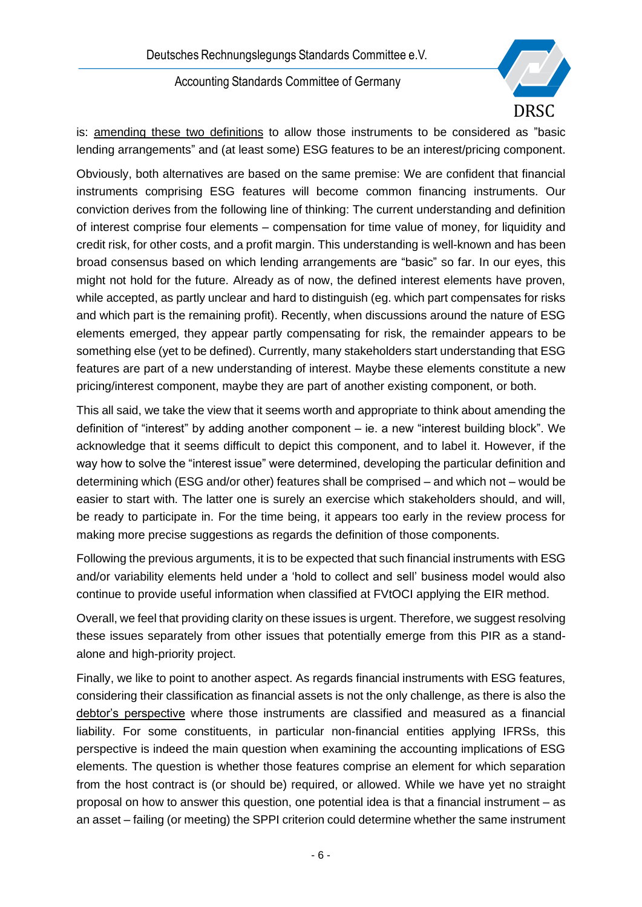

is: amending these two definitions to allow those instruments to be considered as "basic lending arrangements" and (at least some) ESG features to be an interest/pricing component.

Obviously, both alternatives are based on the same premise: We are confident that financial instruments comprising ESG features will become common financing instruments. Our conviction derives from the following line of thinking: The current understanding and definition of interest comprise four elements – compensation for time value of money, for liquidity and credit risk, for other costs, and a profit margin. This understanding is well-known and has been broad consensus based on which lending arrangements are "basic" so far. In our eyes, this might not hold for the future. Already as of now, the defined interest elements have proven, while accepted, as partly unclear and hard to distinguish (eg. which part compensates for risks and which part is the remaining profit). Recently, when discussions around the nature of ESG elements emerged, they appear partly compensating for risk, the remainder appears to be something else (yet to be defined). Currently, many stakeholders start understanding that ESG features are part of a new understanding of interest. Maybe these elements constitute a new pricing/interest component, maybe they are part of another existing component, or both.

This all said, we take the view that it seems worth and appropriate to think about amending the definition of "interest" by adding another component – ie. a new "interest building block". We acknowledge that it seems difficult to depict this component, and to label it. However, if the way how to solve the "interest issue" were determined, developing the particular definition and determining which (ESG and/or other) features shall be comprised – and which not – would be easier to start with. The latter one is surely an exercise which stakeholders should, and will, be ready to participate in. For the time being, it appears too early in the review process for making more precise suggestions as regards the definition of those components.

Following the previous arguments, it is to be expected that such financial instruments with ESG and/or variability elements held under a 'hold to collect and sell' business model would also continue to provide useful information when classified at FVtOCI applying the EIR method.

Overall, we feel that providing clarity on these issues is urgent. Therefore, we suggest resolving these issues separately from other issues that potentially emerge from this PIR as a standalone and high-priority project.

Finally, we like to point to another aspect. As regards financial instruments with ESG features, considering their classification as financial assets is not the only challenge, as there is also the debtor's perspective where those instruments are classified and measured as a financial liability. For some constituents, in particular non-financial entities applying IFRSs, this perspective is indeed the main question when examining the accounting implications of ESG elements. The question is whether those features comprise an element for which separation from the host contract is (or should be) required, or allowed. While we have yet no straight proposal on how to answer this question, one potential idea is that a financial instrument – as an asset – failing (or meeting) the SPPI criterion could determine whether the same instrument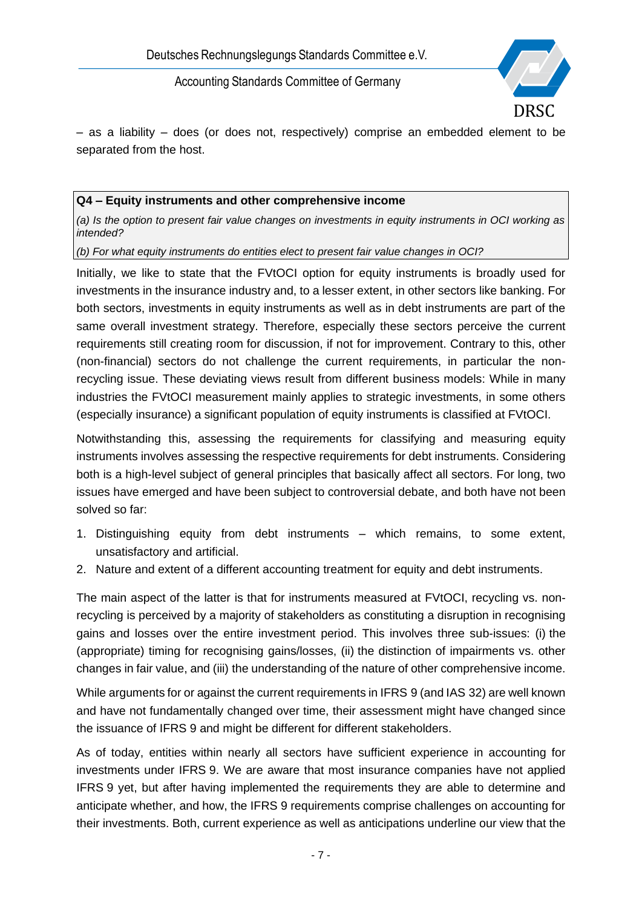

– as a liability – does (or does not, respectively) comprise an embedded element to be separated from the host.

### **Q4 – Equity instruments and other comprehensive income**

*(a) Is the option to present fair value changes on investments in equity instruments in OCI working as intended?*

*(b) For what equity instruments do entities elect to present fair value changes in OCI?*

Initially, we like to state that the FVtOCI option for equity instruments is broadly used for investments in the insurance industry and, to a lesser extent, in other sectors like banking. For both sectors, investments in equity instruments as well as in debt instruments are part of the same overall investment strategy. Therefore, especially these sectors perceive the current requirements still creating room for discussion, if not for improvement. Contrary to this, other (non-financial) sectors do not challenge the current requirements, in particular the nonrecycling issue. These deviating views result from different business models: While in many industries the FVtOCI measurement mainly applies to strategic investments, in some others (especially insurance) a significant population of equity instruments is classified at FVtOCI.

Notwithstanding this, assessing the requirements for classifying and measuring equity instruments involves assessing the respective requirements for debt instruments. Considering both is a high-level subject of general principles that basically affect all sectors. For long, two issues have emerged and have been subject to controversial debate, and both have not been solved so far:

- 1. Distinguishing equity from debt instruments which remains, to some extent, unsatisfactory and artificial.
- 2. Nature and extent of a different accounting treatment for equity and debt instruments.

The main aspect of the latter is that for instruments measured at FVtOCI, recycling vs. nonrecycling is perceived by a majority of stakeholders as constituting a disruption in recognising gains and losses over the entire investment period. This involves three sub-issues: (i) the (appropriate) timing for recognising gains/losses, (ii) the distinction of impairments vs. other changes in fair value, and (iii) the understanding of the nature of other comprehensive income.

While arguments for or against the current requirements in IFRS 9 (and IAS 32) are well known and have not fundamentally changed over time, their assessment might have changed since the issuance of IFRS 9 and might be different for different stakeholders.

As of today, entities within nearly all sectors have sufficient experience in accounting for investments under IFRS 9. We are aware that most insurance companies have not applied IFRS 9 yet, but after having implemented the requirements they are able to determine and anticipate whether, and how, the IFRS 9 requirements comprise challenges on accounting for their investments. Both, current experience as well as anticipations underline our view that the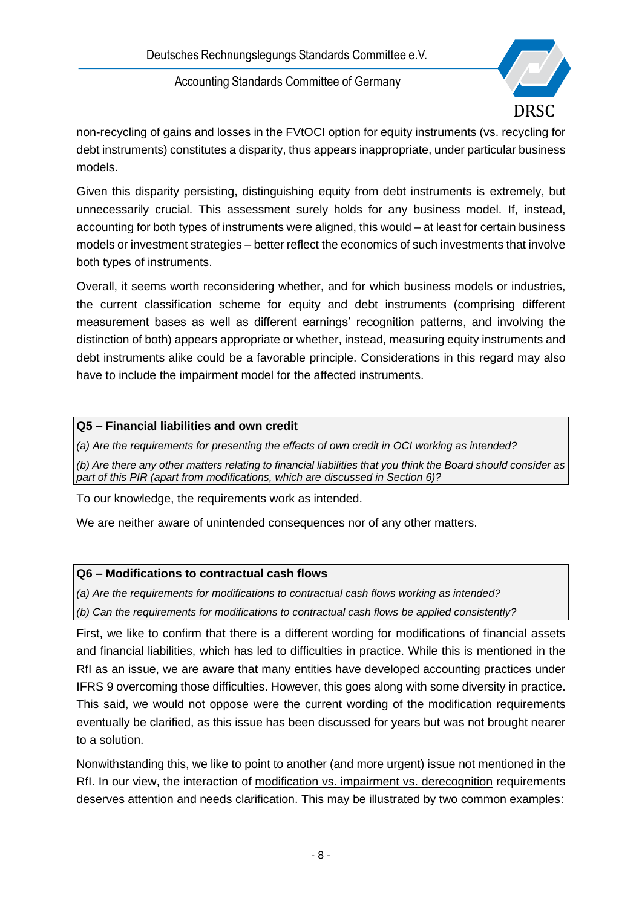

non-recycling of gains and losses in the FVtOCI option for equity instruments (vs. recycling for debt instruments) constitutes a disparity, thus appears inappropriate, under particular business models.

Given this disparity persisting, distinguishing equity from debt instruments is extremely, but unnecessarily crucial. This assessment surely holds for any business model. If, instead, accounting for both types of instruments were aligned, this would – at least for certain business models or investment strategies – better reflect the economics of such investments that involve both types of instruments.

Overall, it seems worth reconsidering whether, and for which business models or industries, the current classification scheme for equity and debt instruments (comprising different measurement bases as well as different earnings' recognition patterns, and involving the distinction of both) appears appropriate or whether, instead, measuring equity instruments and debt instruments alike could be a favorable principle. Considerations in this regard may also have to include the impairment model for the affected instruments.

## **Q5 – Financial liabilities and own credit**

*(a) Are the requirements for presenting the effects of own credit in OCI working as intended?*

*(b) Are there any other matters relating to financial liabilities that you think the Board should consider as part of this PIR (apart from modifications, which are discussed in Section 6)?*

To our knowledge, the requirements work as intended.

We are neither aware of unintended consequences nor of any other matters.

## **Q6 – Modifications to contractual cash flows**

*(a) Are the requirements for modifications to contractual cash flows working as intended?*

*(b) Can the requirements for modifications to contractual cash flows be applied consistently?*

First, we like to confirm that there is a different wording for modifications of financial assets and financial liabilities, which has led to difficulties in practice. While this is mentioned in the RfI as an issue, we are aware that many entities have developed accounting practices under IFRS 9 overcoming those difficulties. However, this goes along with some diversity in practice. This said, we would not oppose were the current wording of the modification requirements eventually be clarified, as this issue has been discussed for years but was not brought nearer to a solution.

Nonwithstanding this, we like to point to another (and more urgent) issue not mentioned in the RfI. In our view, the interaction of modification vs. impairment vs. derecognition requirements deserves attention and needs clarification. This may be illustrated by two common examples: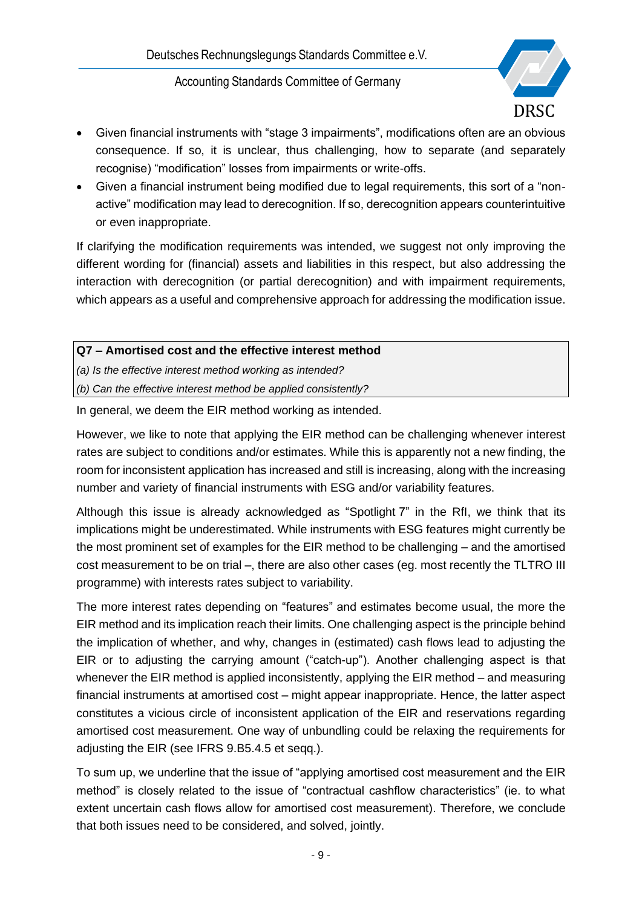

- Given financial instruments with "stage 3 impairments", modifications often are an obvious consequence. If so, it is unclear, thus challenging, how to separate (and separately recognise) "modification" losses from impairments or write-offs.
- Given a financial instrument being modified due to legal requirements, this sort of a "nonactive" modification may lead to derecognition. If so, derecognition appears counterintuitive or even inappropriate.

If clarifying the modification requirements was intended, we suggest not only improving the different wording for (financial) assets and liabilities in this respect, but also addressing the interaction with derecognition (or partial derecognition) and with impairment requirements, which appears as a useful and comprehensive approach for addressing the modification issue.

## **Q7 – Amortised cost and the effective interest method**

*(a) Is the effective interest method working as intended?*

*(b) Can the effective interest method be applied consistently?*

In general, we deem the EIR method working as intended.

However, we like to note that applying the EIR method can be challenging whenever interest rates are subject to conditions and/or estimates. While this is apparently not a new finding, the room for inconsistent application has increased and still is increasing, along with the increasing number and variety of financial instruments with ESG and/or variability features.

Although this issue is already acknowledged as "Spotlight 7" in the RfI, we think that its implications might be underestimated. While instruments with ESG features might currently be the most prominent set of examples for the EIR method to be challenging – and the amortised cost measurement to be on trial –, there are also other cases (eg. most recently the TLTRO III programme) with interests rates subject to variability.

The more interest rates depending on "features" and estimates become usual, the more the EIR method and its implication reach their limits. One challenging aspect is the principle behind the implication of whether, and why, changes in (estimated) cash flows lead to adjusting the EIR or to adjusting the carrying amount ("catch-up"). Another challenging aspect is that whenever the EIR method is applied inconsistently, applying the EIR method – and measuring financial instruments at amortised cost – might appear inappropriate. Hence, the latter aspect constitutes a vicious circle of inconsistent application of the EIR and reservations regarding amortised cost measurement. One way of unbundling could be relaxing the requirements for adjusting the EIR (see IFRS 9.B5.4.5 et seqq.).

To sum up, we underline that the issue of "applying amortised cost measurement and the EIR method" is closely related to the issue of "contractual cashflow characteristics" (ie. to what extent uncertain cash flows allow for amortised cost measurement). Therefore, we conclude that both issues need to be considered, and solved, jointly.